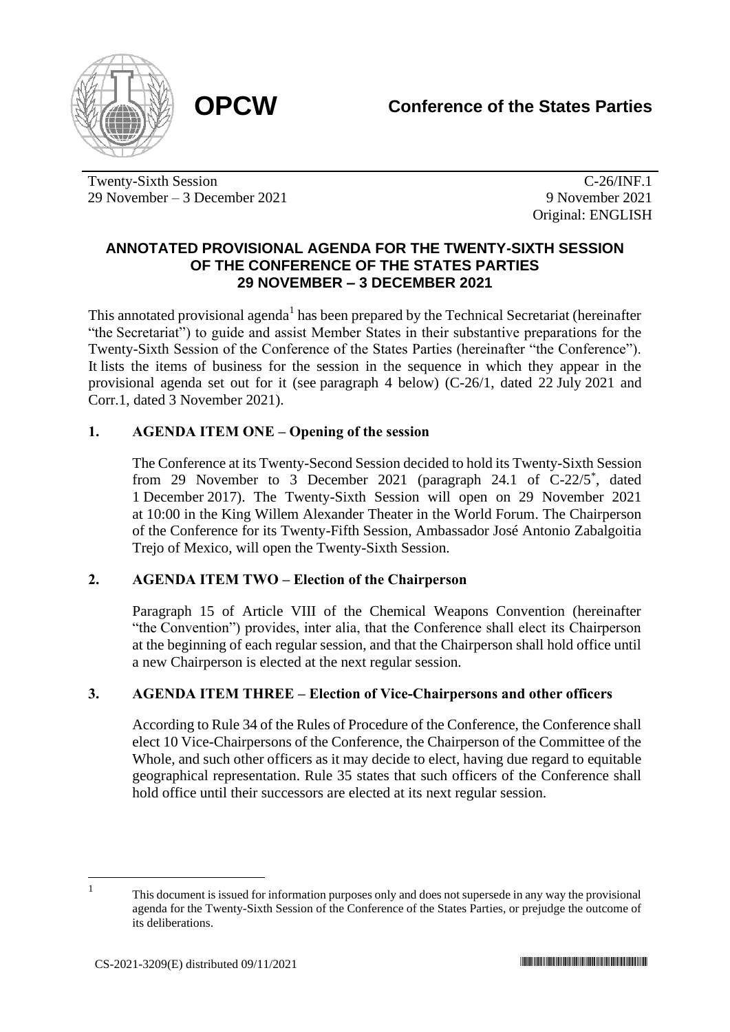

Twenty-Sixth Session 29 November – 3 December 2021

C-26/INF.1 9 November 2021 Original: ENGLISH

## **ANNOTATED PROVISIONAL AGENDA FOR THE TWENTY-SIXTH SESSION OF THE CONFERENCE OF THE STATES PARTIES 29 NOVEMBER – 3 DECEMBER 2021**

This annotated provisional agenda<sup>1</sup> has been prepared by the Technical Secretariat (hereinafter "the Secretariat") to guide and assist Member States in their substantive preparations for the Twenty-Sixth Session of the Conference of the States Parties (hereinafter "the Conference"). It lists the items of business for the session in the sequence in which they appear in the provisional agenda set out for it (see paragraph 4 below) (C-26/1, dated 22 July 2021 and Corr.1, dated 3 November 2021).

## **1. AGENDA ITEM ONE – Opening of the session**

The Conference at its Twenty-Second Session decided to hold its Twenty-Sixth Session from 29 November to 3 December 2021 (paragraph 24.1 of C-22/5<sup>\*</sup>, dated 1 December 2017). The Twenty-Sixth Session will open on 29 November 2021 at 10:00 in the King Willem Alexander Theater in the World Forum. The Chairperson of the Conference for its Twenty-Fifth Session, Ambassador José Antonio Zabalgoitia Trejo of Mexico, will open the Twenty-Sixth Session.

## **2. AGENDA ITEM TWO – Election of the Chairperson**

Paragraph 15 of Article VIII of the Chemical Weapons Convention (hereinafter "the Convention") provides, inter alia, that the Conference shall elect its Chairperson at the beginning of each regular session, and that the Chairperson shall hold office until a new Chairperson is elected at the next regular session.

# **3. AGENDA ITEM THREE – Election of Vice-Chairpersons and other officers**

According to Rule 34 of the Rules of Procedure of the Conference, the Conference shall elect 10 Vice-Chairpersons of the Conference, the Chairperson of the Committee of the Whole, and such other officers as it may decide to elect, having due regard to equitable geographical representation. Rule 35 states that such officers of the Conference shall hold office until their successors are elected at its next regular session.

<sup>1</sup>

This document is issued for information purposes only and does not supersede in any way the provisional agenda for the Twenty-Sixth Session of the Conference of the States Parties, or prejudge the outcome of its deliberations.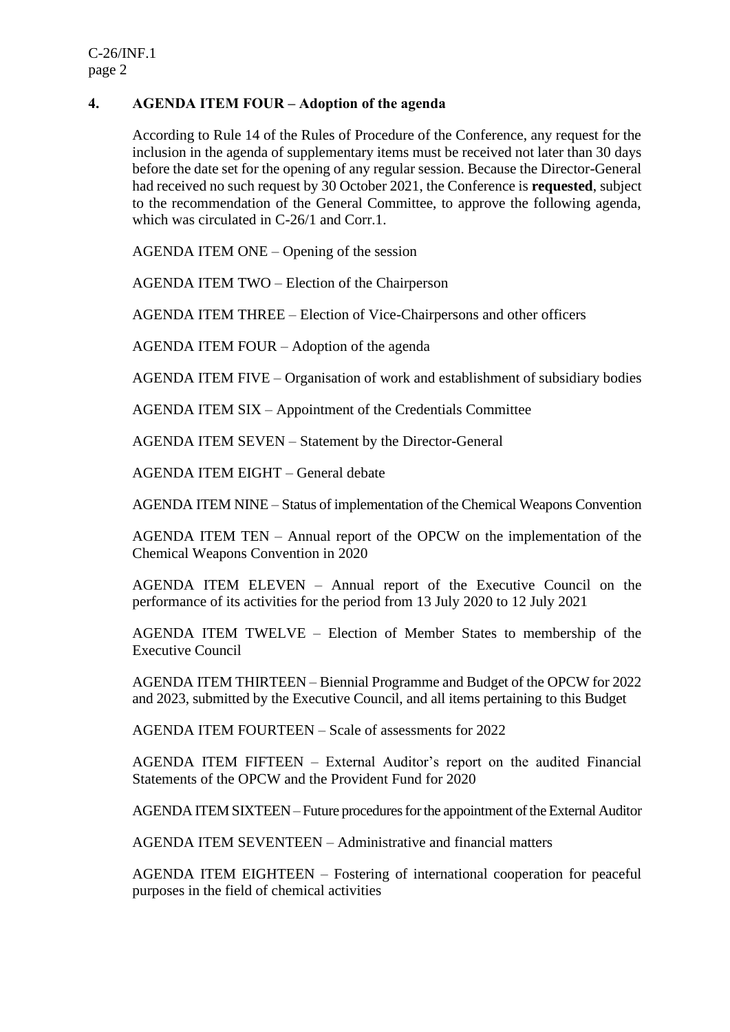## **4. AGENDA ITEM FOUR – Adoption of the agenda**

According to Rule 14 of the Rules of Procedure of the Conference, any request for the inclusion in the agenda of supplementary items must be received not later than 30 days before the date set for the opening of any regular session. Because the Director-General had received no such request by 30 October 2021, the Conference is **requested**, subject to the recommendation of the General Committee, to approve the following agenda, which was circulated in C-26/1 and Corr.1.

AGENDA ITEM ONE – Opening of the session

AGENDA ITEM TWO – Election of the Chairperson

AGENDA ITEM THREE – Election of Vice-Chairpersons and other officers

AGENDA ITEM FOUR – Adoption of the agenda

AGENDA ITEM FIVE – Organisation of work and establishment of subsidiary bodies

AGENDA ITEM SIX – Appointment of the Credentials Committee

AGENDA ITEM SEVEN – Statement by the Director-General

AGENDA ITEM EIGHT – General debate

AGENDA ITEM NINE – Status of implementation of the Chemical Weapons Convention

AGENDA ITEM TEN – Annual report of the OPCW on the implementation of the Chemical Weapons Convention in 2020

AGENDA ITEM ELEVEN – Annual report of the Executive Council on the performance of its activities for the period from 13 July 2020 to 12 July 2021

AGENDA ITEM TWELVE – Election of Member States to membership of the Executive Council

AGENDA ITEM THIRTEEN – Biennial Programme and Budget of the OPCW for 2022 and 2023, submitted by the Executive Council, and all items pertaining to this Budget

AGENDA ITEM FOURTEEN – Scale of assessments for 2022

AGENDA ITEM FIFTEEN – External Auditor's report on the audited Financial Statements of the OPCW and the Provident Fund for 2020

AGENDA ITEM SIXTEEN – Future procedures for the appointment of the External Auditor

AGENDA ITEM SEVENTEEN – Administrative and financial matters

AGENDA ITEM EIGHTEEN – Fostering of international cooperation for peaceful purposes in the field of chemical activities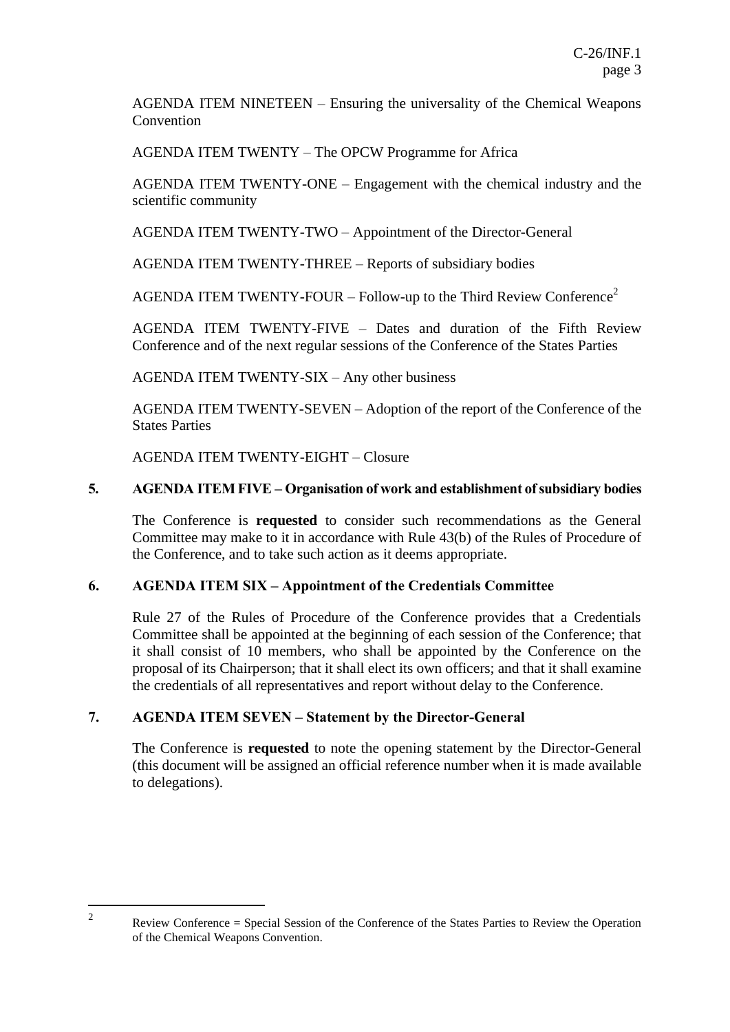AGENDA ITEM NINETEEN – Ensuring the universality of the Chemical Weapons **Convention** 

AGENDA ITEM TWENTY – The OPCW Programme for Africa

AGENDA ITEM TWENTY-ONE – Engagement with the chemical industry and the scientific community

AGENDA ITEM TWENTY-TWO – Appointment of the Director-General

AGENDA ITEM TWENTY-THREE – Reports of subsidiary bodies

AGENDA ITEM TWENTY-FOUR – Follow-up to the Third Review Conference<sup>2</sup>

AGENDA ITEM TWENTY-FIVE – Dates and duration of the Fifth Review Conference and of the next regular sessions of the Conference of the States Parties

AGENDA ITEM TWENTY-SIX – Any other business

AGENDA ITEM TWENTY-SEVEN – Adoption of the report of the Conference of the States Parties

AGENDA ITEM TWENTY-EIGHT – Closure

#### **5. AGENDA ITEM FIVE – Organisation of work and establishment of subsidiary bodies**

The Conference is **requested** to consider such recommendations as the General Committee may make to it in accordance with Rule 43(b) of the Rules of Procedure of the Conference, and to take such action as it deems appropriate.

#### **6. AGENDA ITEM SIX – Appointment of the Credentials Committee**

Rule 27 of the Rules of Procedure of the Conference provides that a Credentials Committee shall be appointed at the beginning of each session of the Conference; that it shall consist of 10 members, who shall be appointed by the Conference on the proposal of its Chairperson; that it shall elect its own officers; and that it shall examine the credentials of all representatives and report without delay to the Conference.

#### **7. AGENDA ITEM SEVEN – Statement by the Director-General**

The Conference is **requested** to note the opening statement by the Director-General (this document will be assigned an official reference number when it is made available to delegations).

 $\overline{2}$ 

Review Conference = Special Session of the Conference of the States Parties to Review the Operation of the Chemical Weapons Convention.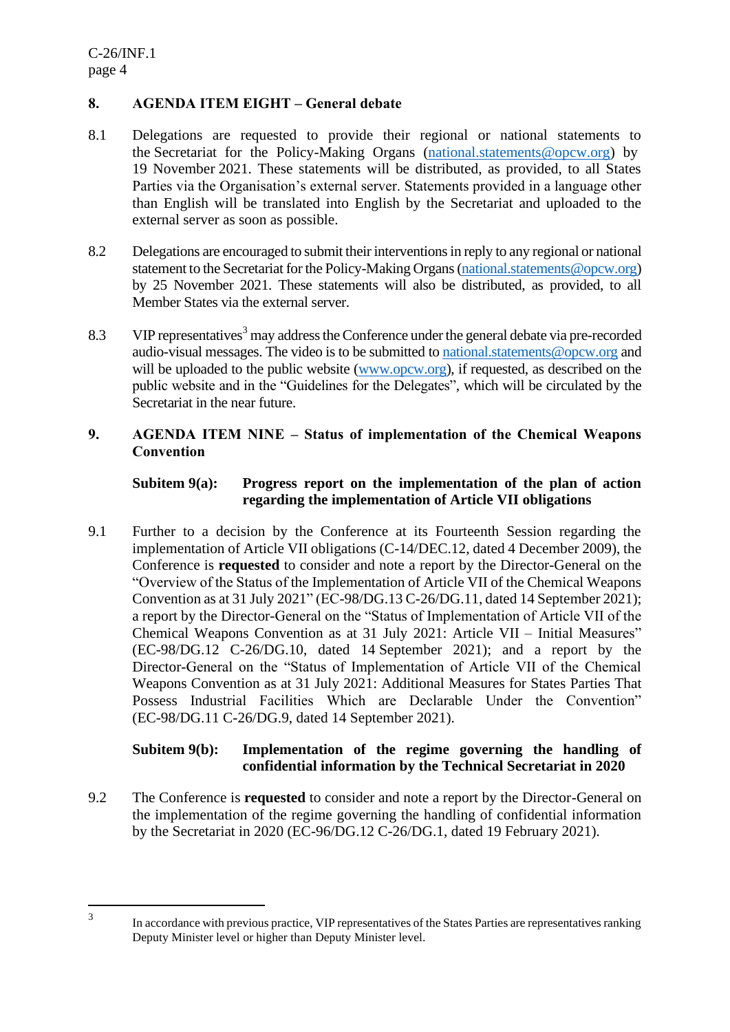## **8. AGENDA ITEM EIGHT – General debate**

- 8.1 Delegations are requested to provide their regional or national statements to the Secretariat for the Policy-Making Organs [\(national.statements@opcw.org\)](mailto:national.statements@opcw.org) by 19 November 2021. These statements will be distributed, as provided, to all States Parties via the Organisation's external server. Statements provided in a language other than English will be translated into English by the Secretariat and uploaded to the external server as soon as possible.
- 8.2 Delegations are encouraged to submit their interventions in reply to any regional or national statement to the Secretariat for the Policy-Making Organs (national statements @opcw.org) by 25 November 2021. These statements will also be distributed, as provided, to all Member States via the external server.
- 8.3 VIP representatives<sup>3</sup> may address the Conference under the general debate via pre-recorded audio-visual messages. The video is to be submitted to [national.statements@opcw.org](mailto:national.statements@opcw.org) and will be uploaded to the public website [\(www.opcw.org\)](http://www.opcw.org/), if requested, as described on the public website and in the "Guidelines for the Delegates", which will be circulated by the Secretariat in the near future.

### **9. AGENDA ITEM NINE – Status of implementation of the Chemical Weapons Convention**

### **Subitem 9(a): Progress report on the implementation of the plan of action regarding the implementation of Article VII obligations**

9.1 Further to a decision by the Conference at its Fourteenth Session regarding the implementation of Article VII obligations (C-14/DEC.12, dated 4 December 2009), the Conference is **requested** to consider and note a report by the Director-General on the "Overview of the Status of the Implementation of Article VII of the Chemical Weapons Convention as at 31 July 2021" (EC-98/DG.13 C-26/DG.11, dated 14 September 2021); a report by the Director-General on the "Status of Implementation of Article VII of the Chemical Weapons Convention as at 31 July 2021: Article VII – Initial Measures" (EC-98/DG.12 C-26/DG.10, dated 14 September 2021); and a report by the Director-General on the "Status of Implementation of Article VII of the Chemical Weapons Convention as at 31 July 2021: Additional Measures for States Parties That Possess Industrial Facilities Which are Declarable Under the Convention" (EC-98/DG.11 C-26/DG.9, dated 14 September 2021).

#### **Subitem 9(b): Implementation of the regime governing the handling of confidential information by the Technical Secretariat in 2020**

9.2 The Conference is **requested** to consider and note a report by the Director-General on the implementation of the regime governing the handling of confidential information by the Secretariat in 2020 (EC-96/DG.12 C-26/DG.1, dated 19 February 2021).

In accordance with previous practice, VIP representatives of the States Parties are representatives ranking Deputy Minister level or higher than Deputy Minister level.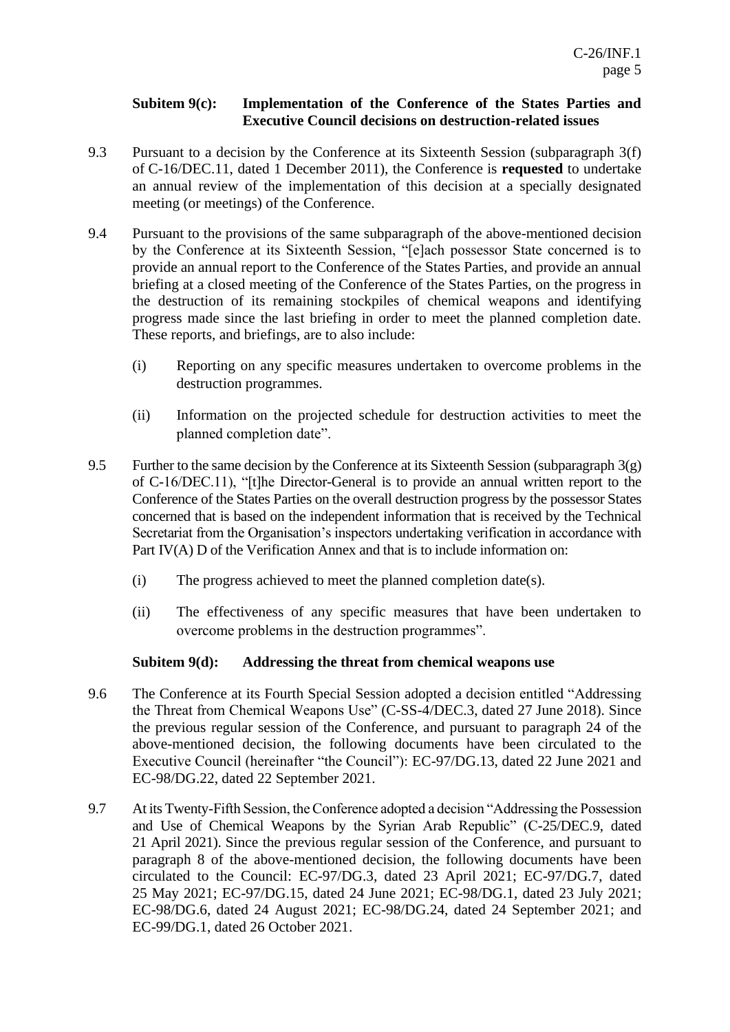#### **Subitem 9(c): Implementation of the Conference of the States Parties and Executive Council decisions on destruction-related issues**

- 9.3 Pursuant to a decision by the Conference at its Sixteenth Session (subparagraph 3(f) of C-16/DEC.11, dated 1 December 2011), the Conference is **requested** to undertake an annual review of the implementation of this decision at a specially designated meeting (or meetings) of the Conference.
- 9.4 Pursuant to the provisions of the same subparagraph of the above-mentioned decision by the Conference at its Sixteenth Session, "[e]ach possessor State concerned is to provide an annual report to the Conference of the States Parties, and provide an annual briefing at a closed meeting of the Conference of the States Parties, on the progress in the destruction of its remaining stockpiles of chemical weapons and identifying progress made since the last briefing in order to meet the planned completion date. These reports, and briefings, are to also include:
	- (i) Reporting on any specific measures undertaken to overcome problems in the destruction programmes.
	- (ii) Information on the projected schedule for destruction activities to meet the planned completion date".
- 9.5 Further to the same decision by the Conference at its Sixteenth Session (subparagraph  $3(g)$ ) of C-16/DEC.11), "[t]he Director-General is to provide an annual written report to the Conference of the States Parties on the overall destruction progress by the possessor States concerned that is based on the independent information that is received by the Technical Secretariat from the Organisation's inspectors undertaking verification in accordance with Part IV(A) D of the Verification Annex and that is to include information on:
	- (i) The progress achieved to meet the planned completion date(s).
	- (ii) The effectiveness of any specific measures that have been undertaken to overcome problems in the destruction programmes".

## **Subitem 9(d): Addressing the threat from chemical weapons use**

- 9.6 The Conference at its Fourth Special Session adopted a decision entitled "Addressing the Threat from Chemical Weapons Use" (C-SS-4/DEC.3, dated 27 June 2018). Since the previous regular session of the Conference, and pursuant to paragraph 24 of the above-mentioned decision, the following documents have been circulated to the Executive Council (hereinafter "the Council"): EC-97/DG.13, dated 22 June 2021 and EC-98/DG.22, dated 22 September 2021.
- 9.7 At its Twenty-Fifth Session, the Conference adopted a decision "Addressing the Possession and Use of Chemical Weapons by the Syrian Arab Republic" (C-25/DEC.9, dated 21 April 2021). Since the previous regular session of the Conference, and pursuant to paragraph 8 of the above-mentioned decision, the following documents have been circulated to the Council: EC-97/DG.3, dated 23 April 2021; EC-97/DG.7, dated 25 May 2021; EC-97/DG.15, dated 24 June 2021; EC-98/DG.1, dated 23 July 2021; EC-98/DG.6, dated 24 August 2021; EC-98/DG.24, dated 24 September 2021; and EC-99/DG.1, dated 26 October 2021.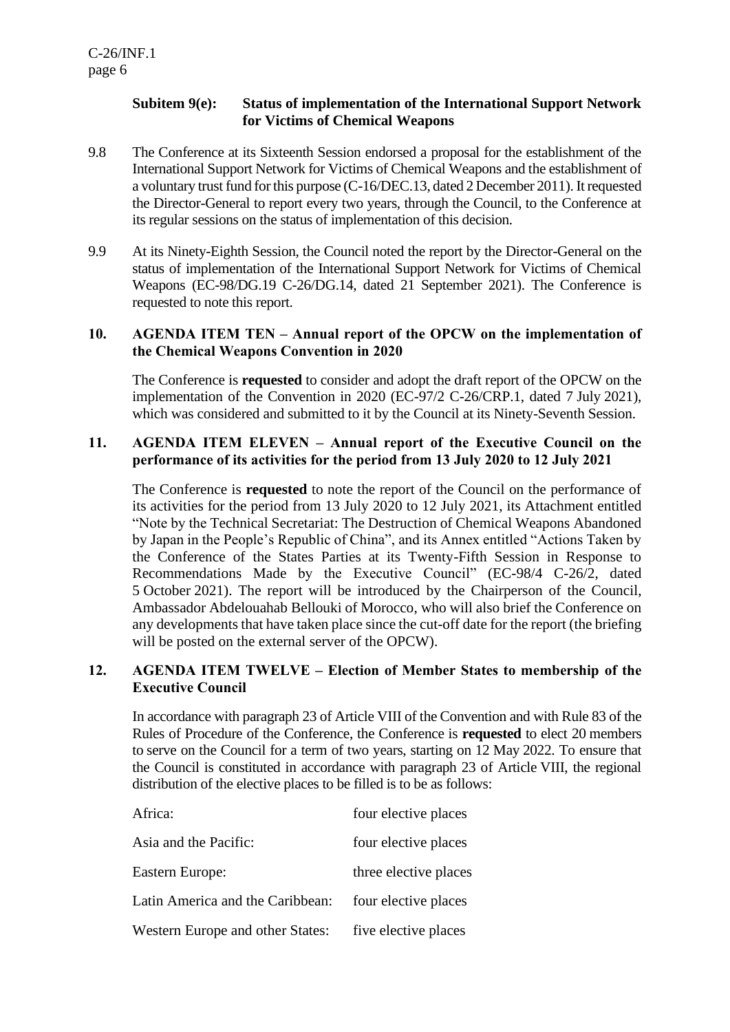## **Subitem 9(e): Status of implementation of the International Support Network for Victims of Chemical Weapons**

- 9.8 The Conference at its Sixteenth Session endorsed a proposal for the establishment of the International Support Network for Victims of Chemical Weapons and the establishment of a voluntary trust fund for this purpose (C-16/DEC.13, dated 2 December 2011). Itrequested the Director-General to report every two years, through the Council, to the Conference at its regular sessions on the status of implementation of this decision.
- 9.9 At its Ninety-Eighth Session, the Council noted the report by the Director-General on the status of implementation of the International Support Network for Victims of Chemical Weapons (EC-98/DG.19 C-26/DG.14, dated 21 September 2021). The Conference is requested to note this report.

#### **10. AGENDA ITEM TEN – Annual report of the OPCW on the implementation of the Chemical Weapons Convention in 2020**

The Conference is **requested** to consider and adopt the draft report of the OPCW on the implementation of the Convention in 2020 (EC-97/2 C-26/CRP.1, dated 7 July 2021), which was considered and submitted to it by the Council at its Ninety-Seventh Session.

#### **11. AGENDA ITEM ELEVEN – Annual report of the Executive Council on the performance of its activities for the period from 13 July 2020 to 12 July 2021**

The Conference is **requested** to note the report of the Council on the performance of its activities for the period from 13 July 2020 to 12 July 2021, its Attachment entitled "Note by the Technical Secretariat: The Destruction of Chemical Weapons Abandoned by Japan in the People's Republic of China", and its Annex entitled "Actions Taken by the Conference of the States Parties at its Twenty-Fifth Session in Response to Recommendations Made by the Executive Council" (EC-98/4 C-26/2, dated 5 October 2021). The report will be introduced by the Chairperson of the Council, Ambassador Abdelouahab Bellouki of Morocco, who will also brief the Conference on any developments that have taken place since the cut-off date for the report (the briefing will be posted on the external server of the OPCW).

#### **12. AGENDA ITEM TWELVE – Election of Member States to membership of the Executive Council**

In accordance with paragraph 23 of Article VIII of the Convention and with Rule 83 of the Rules of Procedure of the Conference, the Conference is **requested** to elect 20 members to serve on the Council for a term of two years, starting on 12 May 2022. To ensure that the Council is constituted in accordance with paragraph 23 of Article VIII, the regional distribution of the elective places to be filled is to be as follows:

| Africa:                          | four elective places  |
|----------------------------------|-----------------------|
| Asia and the Pacific:            | four elective places  |
| Eastern Europe:                  | three elective places |
| Latin America and the Caribbean: | four elective places  |
| Western Europe and other States: | five elective places  |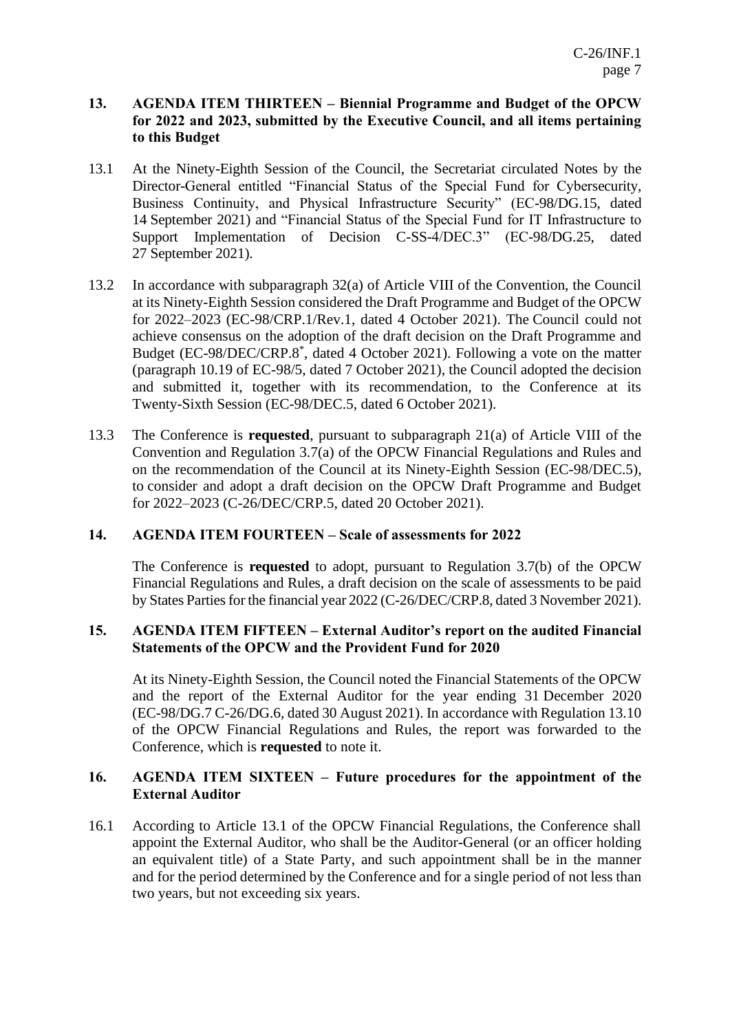### **13. AGENDA ITEM THIRTEEN – Biennial Programme and Budget of the OPCW for 2022 and 2023, submitted by the Executive Council, and all items pertaining to this Budget**

- 13.1 At the Ninety-Eighth Session of the Council, the Secretariat circulated Notes by the Director-General entitled "Financial Status of the Special Fund for Cybersecurity, Business Continuity, and Physical Infrastructure Security" (EC-98/DG.15, dated 14 September 2021) and "Financial Status of the Special Fund for IT Infrastructure to Support Implementation of Decision C-SS-4/DEC.3" (EC-98/DG.25, dated 27 September 2021).
- 13.2 In accordance with subparagraph 32(a) of Article VIII of the Convention, the Council at its Ninety-Eighth Session considered the Draft Programme and Budget of the OPCW for 2022–2023 (EC-98/CRP.1/Rev.1, dated 4 October 2021). The Council could not achieve consensus on the adoption of the draft decision on the Draft Programme and Budget (EC-98/DEC/CRP.8\* , dated 4 October 2021). Following a vote on the matter (paragraph 10.19 of EC-98/5, dated 7 October 2021), the Council adopted the decision and submitted it, together with its recommendation, to the Conference at its Twenty-Sixth Session (EC-98/DEC.5, dated 6 October 2021).
- 13.3 The Conference is **requested**, pursuant to subparagraph 21(a) of Article VIII of the Convention and Regulation 3.7(a) of the OPCW Financial Regulations and Rules and on the recommendation of the Council at its Ninety-Eighth Session (EC-98/DEC.5), to consider and adopt a draft decision on the OPCW Draft Programme and Budget for 2022–2023 (C-26/DEC/CRP.5, dated 20 October 2021).

#### **14. AGENDA ITEM FOURTEEN – Scale of assessments for 2022**

The Conference is **requested** to adopt, pursuant to Regulation 3.7(b) of the OPCW Financial Regulations and Rules, a draft decision on the scale of assessments to be paid by States Parties for the financial year 2022 (C-26/DEC/CRP.8, dated 3 November 2021).

#### **15. AGENDA ITEM FIFTEEN – External Auditor's report on the audited Financial Statements of the OPCW and the Provident Fund for 2020**

At its Ninety-Eighth Session, the Council noted the Financial Statements of the OPCW and the report of the External Auditor for the year ending 31 December 2020 (EC-98/DG.7 C-26/DG.6, dated 30 August 2021). In accordance with Regulation 13.10 of the OPCW Financial Regulations and Rules, the report was forwarded to the Conference, which is **requested** to note it.

#### **16. AGENDA ITEM SIXTEEN – Future procedures for the appointment of the External Auditor**

16.1 According to Article 13.1 of the OPCW Financial Regulations, the Conference shall appoint the External Auditor, who shall be the Auditor-General (or an officer holding an equivalent title) of a State Party, and such appointment shall be in the manner and for the period determined by the Conference and for a single period of not less than two years, but not exceeding six years.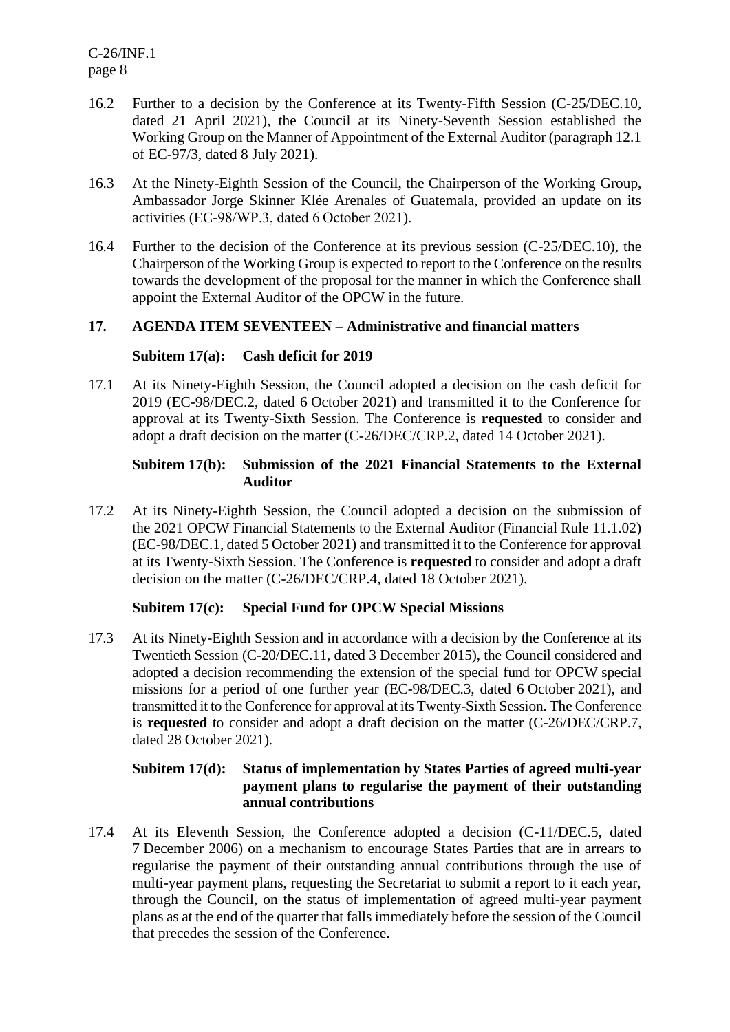C-26/INF.1 page 8

- 16.2 Further to a decision by the Conference at its Twenty-Fifth Session (C-25/DEC.10, dated 21 April 2021), the Council at its Ninety-Seventh Session established the Working Group on the Manner of Appointment of the External Auditor (paragraph 12.1 of EC-97/3, dated 8 July 2021).
- 16.3 At the Ninety-Eighth Session of the Council, the Chairperson of the Working Group, Ambassador Jorge Skinner Klée Arenales of Guatemala, provided an update on its activities (EC-98/WP.3, dated 6 October 2021).
- 16.4 Further to the decision of the Conference at its previous session (C-25/DEC.10), the Chairperson of the Working Group is expected to report to the Conference on the results towards the development of the proposal for the manner in which the Conference shall appoint the External Auditor of the OPCW in the future.

#### **17. AGENDA ITEM SEVENTEEN – Administrative and financial matters**

#### **Subitem 17(a): Cash deficit for 2019**

17.1 At its Ninety-Eighth Session, the Council adopted a decision on the cash deficit for 2019 (EC-98/DEC.2, dated 6 October 2021) and transmitted it to the Conference for approval at its Twenty-Sixth Session. The Conference is **requested** to consider and adopt a draft decision on the matter (C-26/DEC/CRP.2, dated 14 October 2021).

#### **Subitem 17(b): Submission of the 2021 Financial Statements to the External Auditor**

17.2 At its Ninety-Eighth Session, the Council adopted a decision on the submission of the 2021 OPCW Financial Statements to the External Auditor (Financial Rule 11.1.02) (EC-98/DEC.1, dated 5 October 2021) and transmitted it to the Conference for approval at its Twenty-Sixth Session. The Conference is **requested** to consider and adopt a draft decision on the matter (C-26/DEC/CRP.4, dated 18 October 2021).

#### **Subitem 17(c): Special Fund for OPCW Special Missions**

17.3 At its Ninety-Eighth Session and in accordance with a decision by the Conference at its Twentieth Session (C-20/DEC.11, dated 3 December 2015), the Council considered and adopted a decision recommending the extension of the special fund for OPCW special missions for a period of one further year (EC-98/DEC.3, dated 6 October 2021), and transmitted it to the Conference for approval at its Twenty-Sixth Session. The Conference is **requested** to consider and adopt a draft decision on the matter (C-26/DEC/CRP.7, dated 28 October 2021).

#### **Subitem 17(d): Status of implementation by States Parties of agreed multi-year payment plans to regularise the payment of their outstanding annual contributions**

17.4 At its Eleventh Session, the Conference adopted a decision (C-11/DEC.5, dated 7 December 2006) on a mechanism to encourage States Parties that are in arrears to regularise the payment of their outstanding annual contributions through the use of multi-year payment plans, requesting the Secretariat to submit a report to it each year, through the Council, on the status of implementation of agreed multi-year payment plans as at the end of the quarter that falls immediately before the session of the Council that precedes the session of the Conference.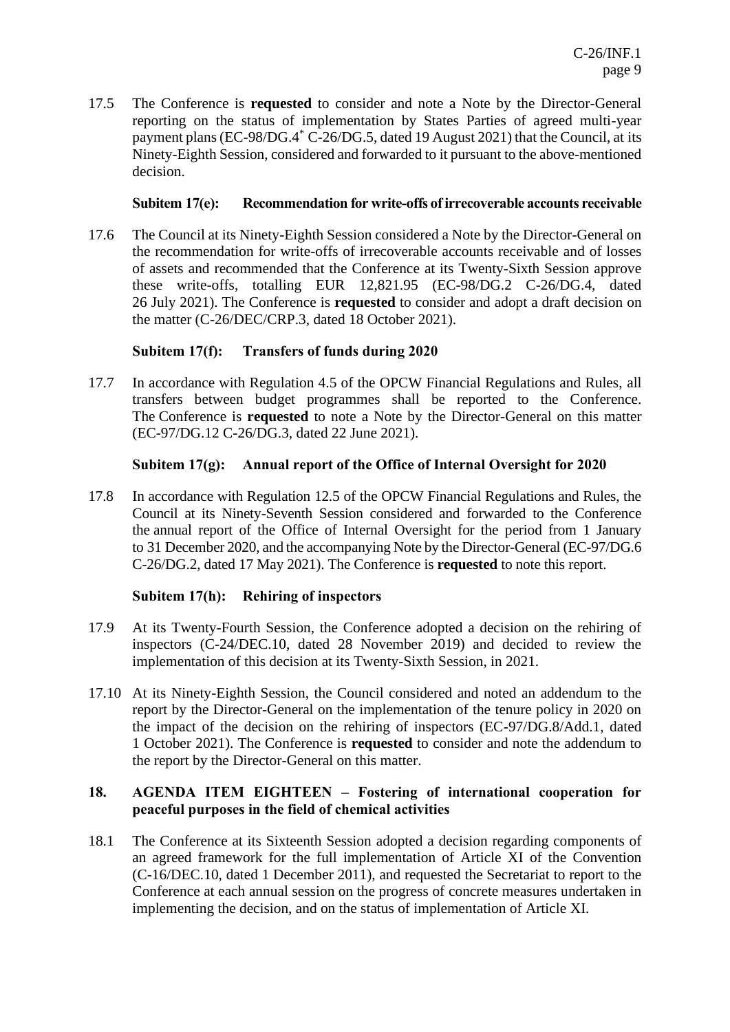17.5 The Conference is **requested** to consider and note a Note by the Director-General reporting on the status of implementation by States Parties of agreed multi-year payment plans (EC-98/DG.4<sup>\*</sup> C-26/DG.5, dated 19 August 2021) that the Council, at its Ninety-Eighth Session, considered and forwarded to it pursuant to the above-mentioned decision.

#### **Subitem 17(e): Recommendation for write-offs of irrecoverable accounts receivable**

17.6 The Council at its Ninety-Eighth Session considered a Note by the Director-General on the recommendation for write-offs of irrecoverable accounts receivable and of losses of assets and recommended that the Conference at its Twenty-Sixth Session approve these write-offs, totalling EUR 12,821.95 (EC-98/DG.2 C-26/DG.4, dated 26 July 2021). The Conference is **requested** to consider and adopt a draft decision on the matter (C-26/DEC/CRP.3, dated 18 October 2021).

## **Subitem 17(f): Transfers of funds during 2020**

17.7 In accordance with Regulation 4.5 of the OPCW Financial Regulations and Rules, all transfers between budget programmes shall be reported to the Conference. The Conference is **requested** to note a Note by the Director-General on this matter (EC-97/DG.12 C-26/DG.3, dated 22 June 2021).

#### **Subitem 17(g): Annual report of the Office of Internal Oversight for 2020**

17.8 In accordance with Regulation 12.5 of the OPCW Financial Regulations and Rules, the Council at its Ninety-Seventh Session considered and forwarded to the Conference the annual report of the Office of Internal Oversight for the period from 1 January to 31 December 2020, and the accompanying Note by the Director-General (EC-97/DG.6 C-26/DG.2, dated 17 May 2021). The Conference is **requested** to note this report.

## **Subitem 17(h): Rehiring of inspectors**

- 17.9 At its Twenty-Fourth Session, the Conference adopted a decision on the rehiring of inspectors (C-24/DEC.10, dated 28 November 2019) and decided to review the implementation of this decision at its Twenty-Sixth Session, in 2021.
- 17.10 At its Ninety-Eighth Session, the Council considered and noted an addendum to the report by the Director-General on the implementation of the tenure policy in 2020 on the impact of the decision on the rehiring of inspectors (EC-97/DG.8/Add.1, dated 1 October 2021). The Conference is **requested** to consider and note the addendum to the report by the Director-General on this matter.

#### **18. AGENDA ITEM EIGHTEEN – Fostering of international cooperation for peaceful purposes in the field of chemical activities**

18.1 The Conference at its Sixteenth Session adopted a decision regarding components of an agreed framework for the full implementation of Article XI of the Convention (C-16/DEC.10, dated 1 December 2011), and requested the Secretariat to report to the Conference at each annual session on the progress of concrete measures undertaken in implementing the decision, and on the status of implementation of Article XI.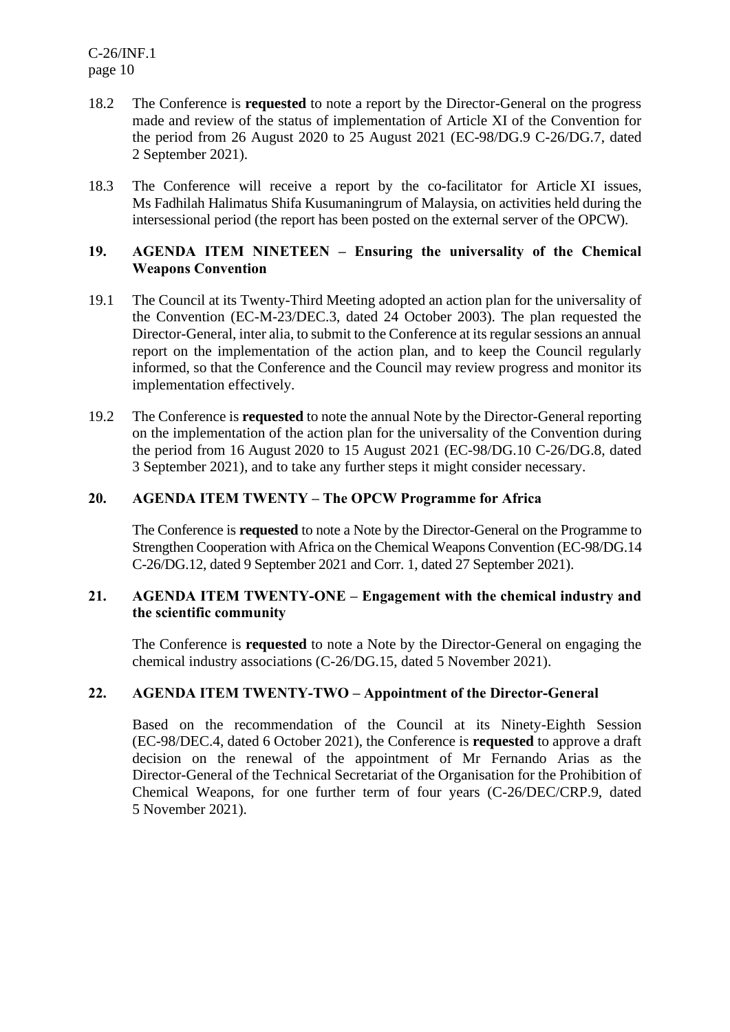C-26/INF.1 page 10

- 18.2 The Conference is **requested** to note a report by the Director-General on the progress made and review of the status of implementation of Article XI of the Convention for the period from 26 August 2020 to 25 August 2021 (EC-98/DG.9 C-26/DG.7, dated 2 September 2021).
- 18.3 The Conference will receive a report by the co-facilitator for Article XI issues, Ms Fadhilah Halimatus Shifa Kusumaningrum of Malaysia, on activities held during the intersessional period (the report has been posted on the external server of the OPCW).

#### **19. AGENDA ITEM NINETEEN – Ensuring the universality of the Chemical Weapons Convention**

- 19.1 The Council at its Twenty-Third Meeting adopted an action plan for the universality of the Convention (EC-M-23/DEC.3, dated 24 October 2003). The plan requested the Director-General, inter alia, to submit to the Conference at its regular sessions an annual report on the implementation of the action plan, and to keep the Council regularly informed, so that the Conference and the Council may review progress and monitor its implementation effectively.
- 19.2 The Conference is **requested** to note the annual Note by the Director-General reporting on the implementation of the action plan for the universality of the Convention during the period from 16 August 2020 to 15 August 2021 (EC-98/DG.10 C-26/DG.8, dated 3 September 2021), and to take any further steps it might consider necessary.

#### **20. AGENDA ITEM TWENTY – The OPCW Programme for Africa**

The Conference is **requested** to note a Note by the Director-General on the Programme to Strengthen Cooperation with Africa on the Chemical Weapons Convention (EC-98/DG.14 C-26/DG.12, dated 9 September 2021 and Corr. 1, dated 27 September 2021).

#### **21. AGENDA ITEM TWENTY-ONE – Engagement with the chemical industry and the scientific community**

The Conference is **requested** to note a Note by the Director-General on engaging the chemical industry associations (C-26/DG.15, dated 5 November 2021).

#### **22. AGENDA ITEM TWENTY-TWO – Appointment of the Director-General**

Based on the recommendation of the Council at its Ninety-Eighth Session (EC-98/DEC.4, dated 6 October 2021), the Conference is **requested** to approve a draft decision on the renewal of the appointment of Mr Fernando Arias as the Director-General of the Technical Secretariat of the Organisation for the Prohibition of Chemical Weapons, for one further term of four years (C-26/DEC/CRP.9, dated 5 November 2021).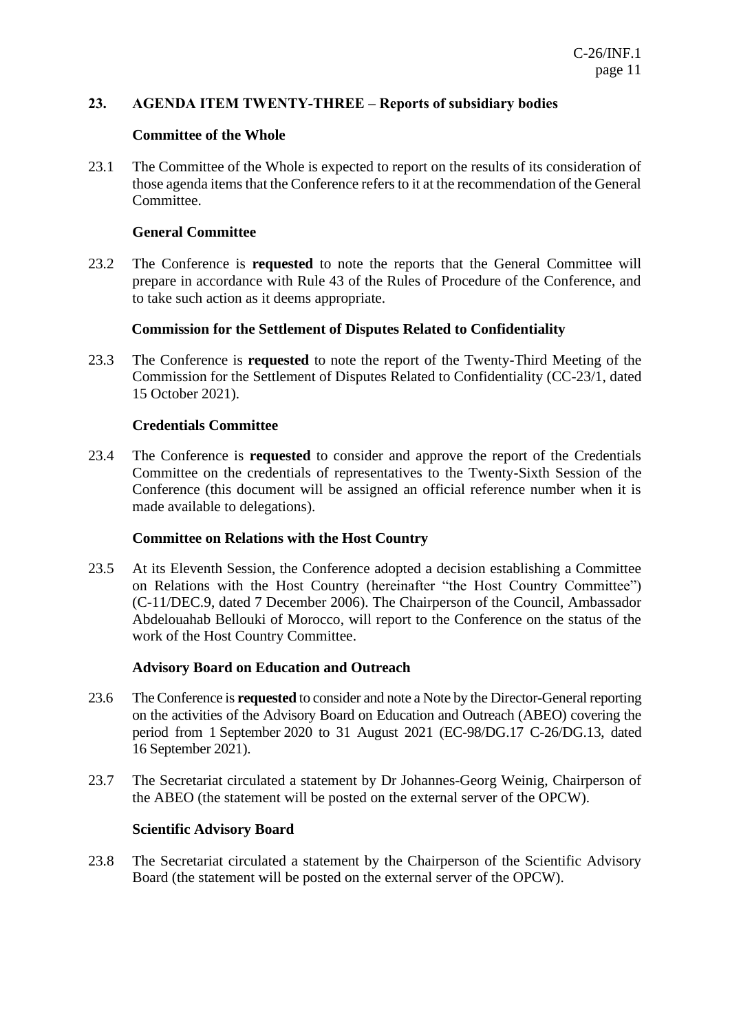#### **23. AGENDA ITEM TWENTY-THREE – Reports of subsidiary bodies**

#### **Committee of the Whole**

23.1 The Committee of the Whole is expected to report on the results of its consideration of those agenda items that the Conference refers to it at the recommendation of the General Committee.

#### **General Committee**

23.2 The Conference is **requested** to note the reports that the General Committee will prepare in accordance with Rule 43 of the Rules of Procedure of the Conference, and to take such action as it deems appropriate.

#### **Commission for the Settlement of Disputes Related to Confidentiality**

23.3 The Conference is **requested** to note the report of the Twenty-Third Meeting of the Commission for the Settlement of Disputes Related to Confidentiality (CC-23/1, dated 15 October 2021).

#### **Credentials Committee**

23.4 The Conference is **requested** to consider and approve the report of the Credentials Committee on the credentials of representatives to the Twenty-Sixth Session of the Conference (this document will be assigned an official reference number when it is made available to delegations).

#### **Committee on Relations with the Host Country**

23.5 At its Eleventh Session, the Conference adopted a decision establishing a Committee on Relations with the Host Country (hereinafter "the Host Country Committee") (C-11/DEC.9, dated 7 December 2006). The Chairperson of the Council, Ambassador Abdelouahab Bellouki of Morocco, will report to the Conference on the status of the work of the Host Country Committee.

#### **Advisory Board on Education and Outreach**

- 23.6 The Conference is **requested** to consider and note a Note by the Director-General reporting on the activities of the Advisory Board on Education and Outreach (ABEO) covering the period from 1 September 2020 to 31 August 2021 (EC-98/DG.17 C-26/DG.13, dated 16 September 2021).
- 23.7 The Secretariat circulated a statement by Dr Johannes-Georg Weinig, Chairperson of the ABEO (the statement will be posted on the external server of the OPCW).

#### **Scientific Advisory Board**

23.8 The Secretariat circulated a statement by the Chairperson of the Scientific Advisory Board (the statement will be posted on the external server of the OPCW).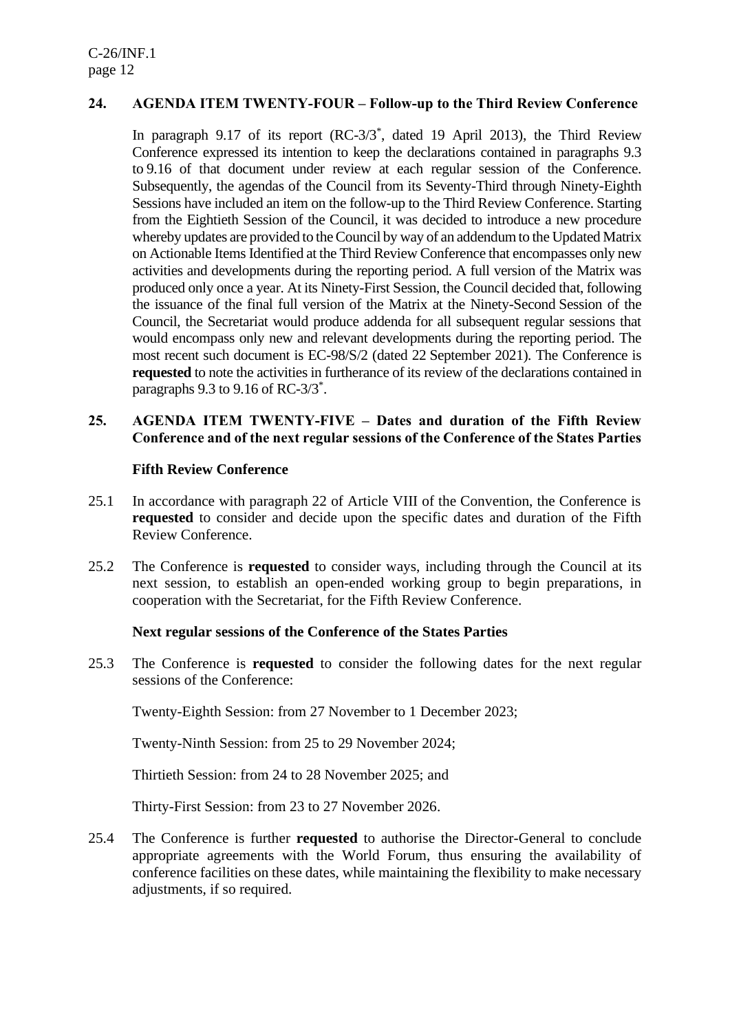## **24. AGENDA ITEM TWENTY-FOUR – Follow-up to the Third Review Conference**

In paragraph 9.17 of its report (RC-3/3\* , dated 19 April 2013), the Third Review Conference expressed its intention to keep the declarations contained in paragraphs 9.3 to 9.16 of that document under review at each regular session of the Conference. Subsequently, the agendas of the Council from its Seventy-Third through Ninety-Eighth Sessions have included an item on the follow-up to the Third Review Conference. Starting from the Eightieth Session of the Council, it was decided to introduce a new procedure whereby updates are provided to the Council by way of an addendum to the Updated Matrix on Actionable Items Identified at the Third Review Conference that encompasses only new activities and developments during the reporting period. A full version of the Matrix was produced only once a year. At its Ninety-First Session, the Council decided that, following the issuance of the final full version of the Matrix at the Ninety-Second Session of the Council, the Secretariat would produce addenda for all subsequent regular sessions that would encompass only new and relevant developments during the reporting period. The most recent such document is EC-98/S/2 (dated 22 September 2021). The Conference is **requested** to note the activities in furtherance of its review of the declarations contained in paragraphs 9.3 to 9.16 of RC-3/3<sup>\*</sup>.

### **25. AGENDA ITEM TWENTY-FIVE – Dates and duration of the Fifth Review Conference and of the next regular sessions of the Conference of the States Parties**

#### **Fifth Review Conference**

- 25.1 In accordance with paragraph 22 of Article VIII of the Convention, the Conference is **requested** to consider and decide upon the specific dates and duration of the Fifth Review Conference.
- 25.2 The Conference is **requested** to consider ways, including through the Council at its next session, to establish an open-ended working group to begin preparations, in cooperation with the Secretariat, for the Fifth Review Conference.

#### **Next regular sessions of the Conference of the States Parties**

25.3 The Conference is **requested** to consider the following dates for the next regular sessions of the Conference:

Twenty-Eighth Session: from 27 November to 1 December 2023;

Twenty-Ninth Session: from 25 to 29 November 2024;

Thirtieth Session: from 24 to 28 November 2025; and

Thirty-First Session: from 23 to 27 November 2026.

25.4 The Conference is further **requested** to authorise the Director-General to conclude appropriate agreements with the World Forum, thus ensuring the availability of conference facilities on these dates, while maintaining the flexibility to make necessary adjustments, if so required.